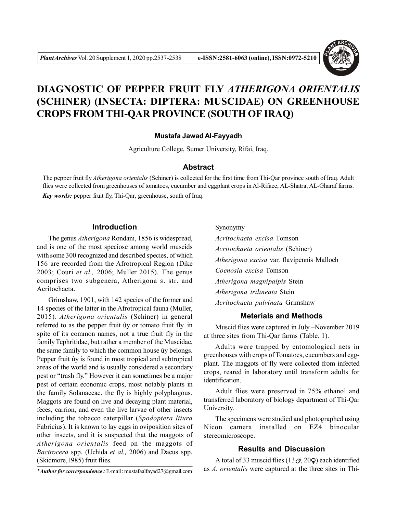

# **DIAGNOSTIC OF PEPPER FRUIT FLY** *ATHERIGONA ORIENTALIS* **(SCHINER) (INSECTA: DIPTERA: MUSCIDAE) ON GREENHOUSE CROPS FROM THI-QAR PROVINCE (SOUTH OF IRAQ)**

# **Mustafa Jawad Al-Fayyadh**

Agriculture College, Sumer University, Rifai, Iraq.

## **Abstract**

The pepper fruit fly *Atherigona orientalis* (Schiner) is collected for the first time from Thi-Qar province south of Iraq. Adult flies were collected from greenhouses of tomatoes, cucumber and eggplant crops in Al-Rifaee, AL-Shatra, AL-Gharaf farms. *Key words:* pepper fruit fly, Thi-Qar, greenhouse, south of Iraq.

#### **Introduction**

The genus *Atherigona* Rondani, 1856 is widespread, and is one of the most speciose among world muscids with some 300 recognized and described species, of which 156 are recorded from the Afrotropical Region (Dike 2003; Couri *et al.,* 2006; Muller 2015). The genus comprises two subgenera, Atherigona s. str. and Acritochaeta.

Grimshaw, 1901, with 142 species of the former and 14 species of the latter in the Afrotropical fauna (Muller, 2015). *Atherigona orientalis* (Schiner) in general referred to as the pepper fruit ûy or tomato fruit fly. in spite of its common names, not a true fruit fly in the family Tephritidae, but rather a member of the Muscidae, the same family to which the common house ûy belongs. Pepper fruit ûy is found in most tropical and subtropical areas of the world and is usually considered a secondary pest or "trash fly." However it can sometimes be a major pest of certain economic crops, most notably plants in the family Solanaceae. the fly is highly polyphagous. Maggots are found on live and decaying plant material, feces, carrion, and even the live larvae of other insects including the tobacco caterpillar (*Spodoptera litura* Fabricius). It is known to lay eggs in oviposition sites of other insects, and it is suspected that the maggots of *Atherigona orientalis* feed on the maggots of *Bactrocera* spp. (Uchida *et al.,* 2006) and Dacus spp. (Skidmore,1985) fruit flies.

Synonymy

*Acritochaeta excisa* Tomson *Acritochaeta orientalis* (Schiner) *Atherigona excisa* var. flavipennis Malloch *Coenosia excisa* Tomson *Atherigona magnipalpis* Stein *Atherigona trilineata* Stein *Acritochaeta pulvinata* Grimshaw

# **Meterials and Methods**

Muscid flies were captured in July –November 2019 at three sites from Thi-Qar farms (Table. 1).

Adults were trapped by entomological nets in greenhouses with crops of Tomatoes, cucumbers and eggplant. The maggots of fly were collected from infected crops, reared in laboratory until transform adults for identification.

Adult flies were preserved in 75% ethanol and transferred laboratory of biology department of Thi-Qar University.

The specimens were studied and photographed using Nicon camera installed on EZ4 binocular stereomicroscope.

# **Results and Discussion**

A total of 33 muscid flies  $(13\sigma, 20\Omega)$  each identified as *A. orientalis* were captured at the three sites in Thi-

*<sup>\*</sup>Author for correspondence :* E-mail : mustafaalfayad27@gmail.com